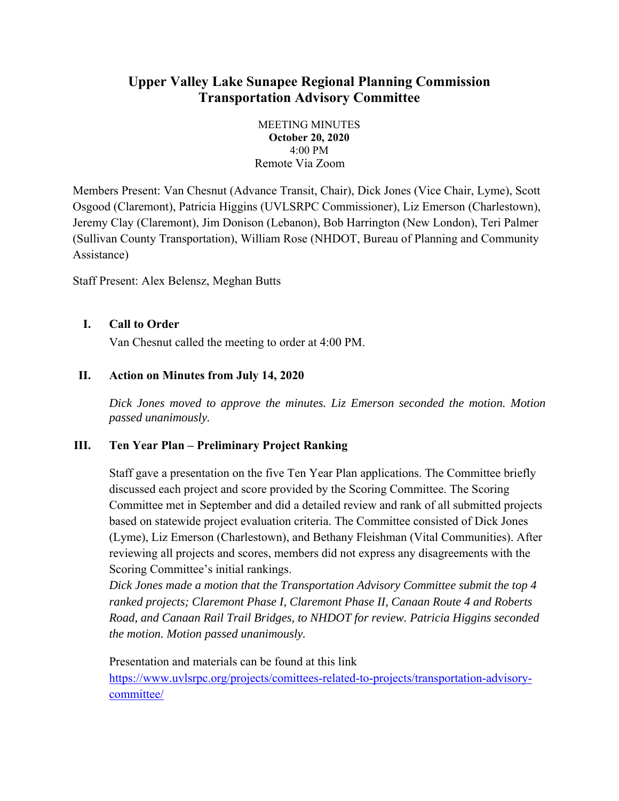# **Upper Valley Lake Sunapee Regional Planning Commission Transportation Advisory Committee**

MEETING MINUTES **October 20, 2020**  4:00 PM Remote Via Zoom

Members Present: Van Chesnut (Advance Transit, Chair), Dick Jones (Vice Chair, Lyme), Scott Osgood (Claremont), Patricia Higgins (UVLSRPC Commissioner), Liz Emerson (Charlestown), Jeremy Clay (Claremont), Jim Donison (Lebanon), Bob Harrington (New London), Teri Palmer (Sullivan County Transportation), William Rose (NHDOT, Bureau of Planning and Community Assistance)

Staff Present: Alex Belensz, Meghan Butts

### **I. Call to Order**

Van Chesnut called the meeting to order at 4:00 PM.

### **II. Action on Minutes from July 14, 2020**

*Dick Jones moved to approve the minutes. Liz Emerson seconded the motion. Motion passed unanimously.* 

## **III. Ten Year Plan – Preliminary Project Ranking**

Staff gave a presentation on the five Ten Year Plan applications. The Committee briefly discussed each project and score provided by the Scoring Committee. The Scoring Committee met in September and did a detailed review and rank of all submitted projects based on statewide project evaluation criteria. The Committee consisted of Dick Jones (Lyme), Liz Emerson (Charlestown), and Bethany Fleishman (Vital Communities). After reviewing all projects and scores, members did not express any disagreements with the Scoring Committee's initial rankings.

*Dick Jones made a motion that the Transportation Advisory Committee submit the top 4 ranked projects; Claremont Phase I, Claremont Phase II, Canaan Route 4 and Roberts Road, and Canaan Rail Trail Bridges, to NHDOT for review. Patricia Higgins seconded the motion. Motion passed unanimously.* 

Presentation and materials can be found at this link https://www.uvlsrpc.org/projects/comittees-related-to-projects/transportation-advisorycommittee/